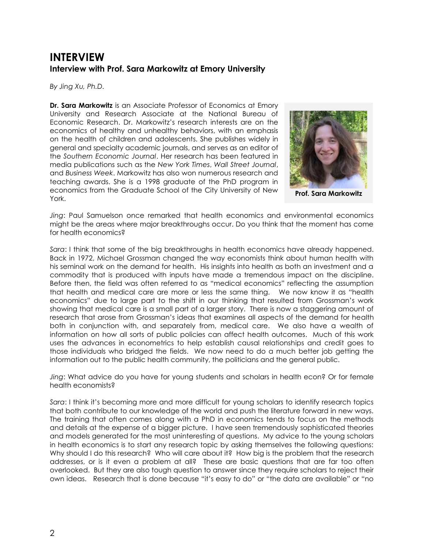## **INTERVIEW Interview with Prof. Sara Markowitz at Emory University**

*By Jing Xu, Ph.D.*

**Dr. Sara Markowitz** is an Associate Professor of Economics at Emory University and Research Associate at the National Bureau of Economic Research. Dr. Markowitz's research interests are on the economics of healthy and unhealthy behaviors, with an emphasis on the health of children and adolescents. She publishes widely in general and specialty academic journals, and serves as an editor of the *Southern Economic Journal*. Her research has been featured in media publications such as the *New York Times*, *Wall Street Journal*, and *Business Week*. Markowitz has also won numerous research and teaching awards. She is a 1998 graduate of the PhD program in economics from the Graduate School of the City University of New York.



**Prof. Sara Markowitz**

*Jing*: Paul Samuelson once remarked that health economics and environmental economics might be the areas where major breakthroughs occur. Do you think that the moment has come for health economics?

*Sara*: I think that some of the big breakthroughs in health economics have already happened. Back in 1972, Michael Grossman changed the way economists think about human health with his seminal work on the demand for health. His insights into health as both an investment and a commodity that is produced with inputs have made a tremendous impact on the discipline. Before then, the field was often referred to as "medical economics" reflecting the assumption that health and medical care are more or less the same thing. We now know it as "health economics" due to large part to the shift in our thinking that resulted from Grossman's work showing that medical care is a small part of a larger story. There is now a staggering amount of research that arose from Grossman's ideas that examines all aspects of the demand for health both in conjunction with, and separately from, medical care. We also have a wealth of information on how all sorts of public policies can affect health outcomes. Much of this work uses the advances in econometrics to help establish causal relationships and credit goes to those individuals who bridged the fields. We now need to do a much better job getting the information out to the public health community, the politicians and the general public.

*Jing*: What advice do you have for young students and scholars in health econ? Or for female health economists?

*Sara*: I think it's becoming more and more difficult for young scholars to identify research topics that both contribute to our knowledge of the world and push the literature forward in new ways. The training that often comes along with a PhD in economics tends to focus on the methods and details at the expense of a bigger picture. I have seen tremendously sophisticated theories and models generated for the most uninteresting of questions. My advice to the young scholars in health economics is to start any research topic by asking themselves the following questions: Why should I do this research? Who will care about it? How big is the problem that the research addresses, or is it even a problem at all? These are basic questions that are far too often overlooked. But they are also tough question to answer since they require scholars to reject their own ideas. Research that is done because "it's easy to do" or "the data are available" or "no